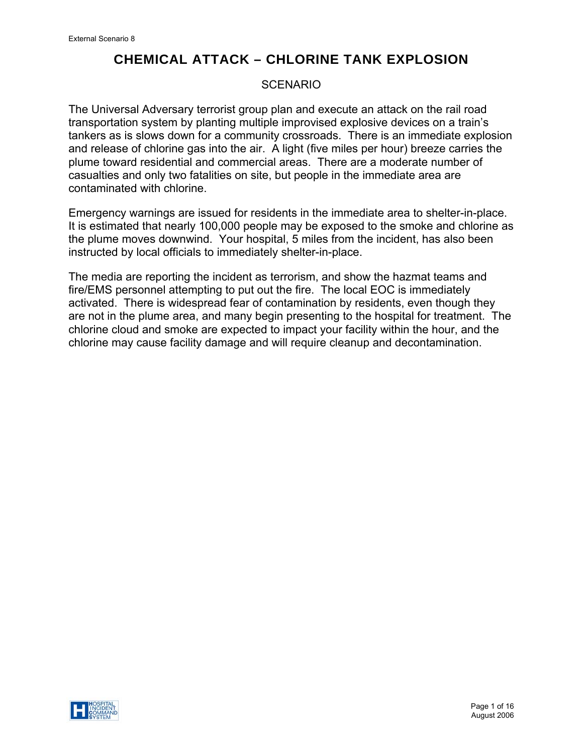# **SCENARIO**

The Universal Adversary terrorist group plan and execute an attack on the rail road transportation system by planting multiple improvised explosive devices on a train's tankers as is slows down for a community crossroads. There is an immediate explosion and release of chlorine gas into the air. A light (five miles per hour) breeze carries the plume toward residential and commercial areas. There are a moderate number of casualties and only two fatalities on site, but people in the immediate area are contaminated with chlorine.

Emergency warnings are issued for residents in the immediate area to shelter-in-place. It is estimated that nearly 100,000 people may be exposed to the smoke and chlorine as the plume moves downwind. Your hospital, 5 miles from the incident, has also been instructed by local officials to immediately shelter-in-place.

The media are reporting the incident as terrorism, and show the hazmat teams and fire/EMS personnel attempting to put out the fire. The local EOC is immediately activated. There is widespread fear of contamination by residents, even though they are not in the plume area, and many begin presenting to the hospital for treatment. The chlorine cloud and smoke are expected to impact your facility within the hour, and the chlorine may cause facility damage and will require cleanup and decontamination.

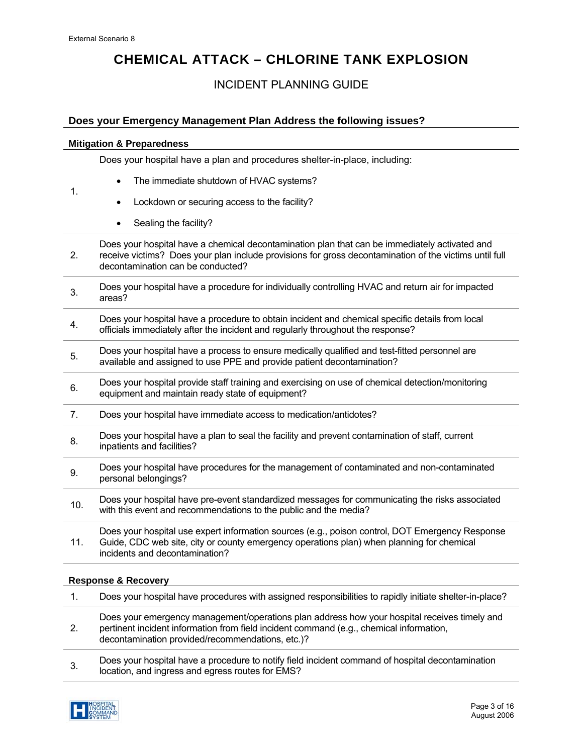1.

# **CHEMICAL ATTACK – CHLORINE TANK EXPLOSION**

# INCIDENT PLANNING GUIDE

## **Does your Emergency Management Plan Address the following issues?**

### **Mitigation & Preparedness**

Does your hospital have a plan and procedures shelter-in-place, including:

- The immediate shutdown of HVAC systems?
- Lockdown or securing access to the facility?
- Sealing the facility?

2. Does your hospital have a chemical decontamination plan that can be immediately activated and receive victims? Does your plan include provisions for gross decontamination of the victims until full decontamination can be conducted?

- 3. Does your hospital have a procedure for individually controlling HVAC and return air for impacted areas?
- 4. Does your hospital have a procedure to obtain incident and chemical specific details from local officials immediately after the incident and regularly throughout the response?
- 5. Does your hospital have a process to ensure medically qualified and test-fitted personnel are<br>5. Such and assigned to use DPF and arguide national decontemination? available and assigned to use PPE and provide patient decontamination?
- 6. Does your hospital provide staff training and exercising on use of chemical detection/monitoring equipment and maintain ready state of equipment?
- 7. Does your hospital have immediate access to medication/antidotes?
- 8. Does your hospital have a plan to seal the facility and prevent contamination of staff, current inpatients and facilities?
- 9. Does your hospital have procedures for the management of contaminated and non-contaminated personal belongings?
- 10. Does your hospital have pre-event standardized messages for communicating the risks associated with this event and recommendations to the public and the media?

11. Does your hospital use expert information sources (e.g., poison control, DOT Emergency Response Guide, CDC web site, city or county emergency operations plan) when planning for chemical incidents and decontamination?

## **Response & Recovery**

1. Does your hospital have procedures with assigned responsibilities to rapidly initiate shelter-in-place? 2. Does your emergency management/operations plan address how your hospital receives timely and pertinent incident information from field incident command (e.g., chemical information, decontamination provided/recommendations, etc.)? 3. Does your hospital have a procedure to notify field incident command of hospital decontamination location, and ingress and egress routes for EMS?

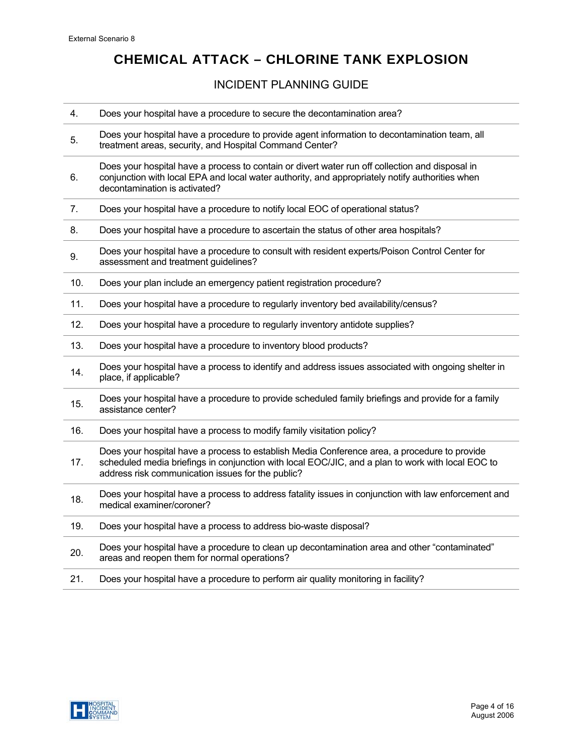# INCIDENT PLANNING GUIDE

| 4.  | Does your hospital have a procedure to secure the decontamination area?                                                                                                                                                                                |
|-----|--------------------------------------------------------------------------------------------------------------------------------------------------------------------------------------------------------------------------------------------------------|
| 5.  | Does your hospital have a procedure to provide agent information to decontamination team, all<br>treatment areas, security, and Hospital Command Center?                                                                                               |
| 6.  | Does your hospital have a process to contain or divert water run off collection and disposal in<br>conjunction with local EPA and local water authority, and appropriately notify authorities when<br>decontamination is activated?                    |
| 7.  | Does your hospital have a procedure to notify local EOC of operational status?                                                                                                                                                                         |
| 8.  | Does your hospital have a procedure to ascertain the status of other area hospitals?                                                                                                                                                                   |
| 9.  | Does your hospital have a procedure to consult with resident experts/Poison Control Center for<br>assessment and treatment guidelines?                                                                                                                 |
| 10. | Does your plan include an emergency patient registration procedure?                                                                                                                                                                                    |
| 11. | Does your hospital have a procedure to regularly inventory bed availability/census?                                                                                                                                                                    |
| 12. | Does your hospital have a procedure to regularly inventory antidote supplies?                                                                                                                                                                          |
| 13. | Does your hospital have a procedure to inventory blood products?                                                                                                                                                                                       |
| 14. | Does your hospital have a process to identify and address issues associated with ongoing shelter in<br>place, if applicable?                                                                                                                           |
| 15. | Does your hospital have a procedure to provide scheduled family briefings and provide for a family<br>assistance center?                                                                                                                               |
| 16. | Does your hospital have a process to modify family visitation policy?                                                                                                                                                                                  |
| 17. | Does your hospital have a process to establish Media Conference area, a procedure to provide<br>scheduled media briefings in conjunction with local EOC/JIC, and a plan to work with local EOC to<br>address risk communication issues for the public? |
| 18. | Does your hospital have a process to address fatality issues in conjunction with law enforcement and<br>medical examiner/coroner?                                                                                                                      |
| 19. | Does your hospital have a process to address bio-waste disposal?                                                                                                                                                                                       |
| 20. | Does your hospital have a procedure to clean up decontamination area and other "contaminated"<br>areas and reopen them for normal operations?                                                                                                          |
| 21. | Does your hospital have a procedure to perform air quality monitoring in facility?                                                                                                                                                                     |
|     |                                                                                                                                                                                                                                                        |

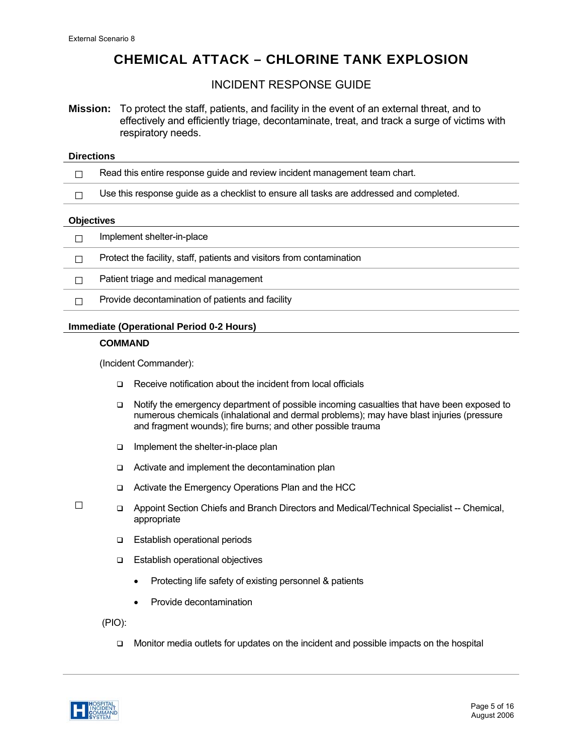## INCIDENT RESPONSE GUIDE

**Mission:** To protect the staff, patients, and facility in the event of an external threat, and to effectively and efficiently triage, decontaminate, treat, and track a surge of victims with respiratory needs.

#### **Directions**

- $\Box$  Read this entire response guide and review incident management team chart.
- $\Box$  Use this response guide as a checklist to ensure all tasks are addressed and completed.

#### **Objectives**

| Implement shelter-in-place                                            |
|-----------------------------------------------------------------------|
| Protect the facility, staff, patients and visitors from contamination |
| Patient triage and medical management                                 |
| Provide decontamination of patients and facility                      |
|                                                                       |

## **Immediate (Operational Period 0-2 Hours)**

### **COMMAND**

(Incident Commander):

- □ Receive notification about the incident from local officials
- Notify the emergency department of possible incoming casualties that have been exposed to numerous chemicals (inhalational and dermal problems); may have blast injuries (pressure and fragment wounds); fire burns; and other possible trauma
- $\Box$  Implement the shelter-in-place plan
- □ Activate and implement the decontamination plan
- □ Activate the Emergency Operations Plan and the HCC
- Appoint Section Chiefs and Branch Directors and Medical/Technical Specialist -- Chemical, appropriate
	- **Establish operational periods**
	- □ Establish operational objectives
		- Protecting life safety of existing personnel & patients
		- Provide decontamination

(PIO):

Monitor media outlets for updates on the incident and possible impacts on the hospital



□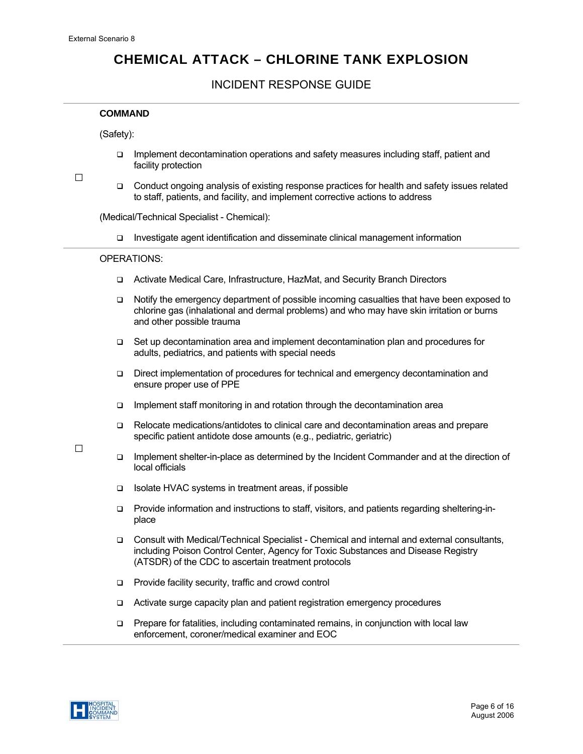## INCIDENT RESPONSE GUIDE

### **COMMAND**

(Safety):

Implement decontamination operations and safety measures including staff, patient and facility protection

□

□

□ Conduct ongoing analysis of existing response practices for health and safety issues related to staff, patients, and facility, and implement corrective actions to address

(Medical/Technical Specialist - Chemical):

Investigate agent identification and disseminate clinical management information

### OPERATIONS:

- Activate Medical Care, Infrastructure, HazMat, and Security Branch Directors
- Notify the emergency department of possible incoming casualties that have been exposed to chlorine gas (inhalational and dermal problems) and who may have skin irritation or burns and other possible trauma
- Set up decontamination area and implement decontamination plan and procedures for adults, pediatrics, and patients with special needs
- Direct implementation of procedures for technical and emergency decontamination and ensure proper use of PPE
- $\Box$  Implement staff monitoring in and rotation through the decontamination area
- Relocate medications/antidotes to clinical care and decontamination areas and prepare specific patient antidote dose amounts (e.g., pediatric, geriatric)
- Implement shelter-in-place as determined by the Incident Commander and at the direction of local officials
- Isolate HVAC systems in treatment areas, if possible
- Provide information and instructions to staff, visitors, and patients regarding sheltering-inplace
- Consult with Medical/Technical Specialist Chemical and internal and external consultants, including Poison Control Center, Agency for Toxic Substances and Disease Registry (ATSDR) of the CDC to ascertain treatment protocols
- **Provide facility security, traffic and crowd control**
- Activate surge capacity plan and patient registration emergency procedures
- □ Prepare for fatalities, including contaminated remains, in conjunction with local law enforcement, coroner/medical examiner and EOC

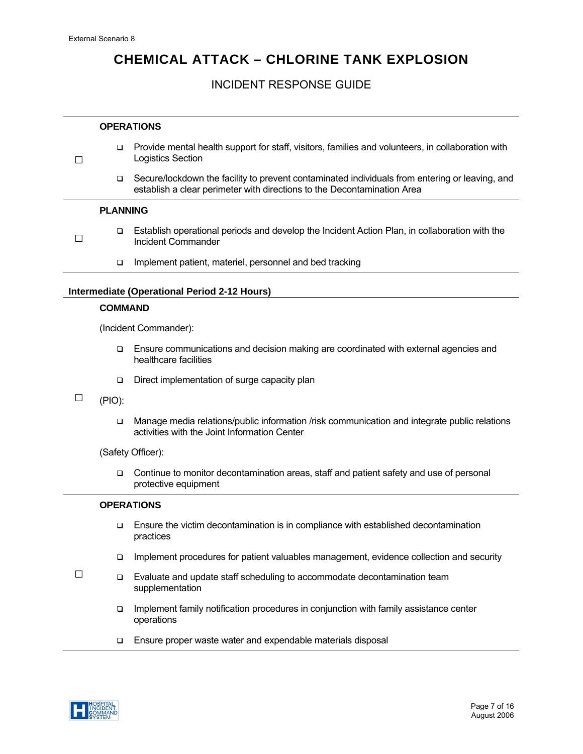$\Box$ 

□

# **CHEMICAL ATTACK – CHLORINE TANK EXPLOSION**

## INCIDENT RESPONSE GUIDE

#### **OPERATIONS**

- Provide mental health support for staff, visitors, families and volunteers, in collaboration with Logistics Section
	- Secure/lockdown the facility to prevent contaminated individuals from entering or leaving, and establish a clear perimeter with directions to the Decontamination Area

## **PLANNING**

- Establish operational periods and develop the Incident Action Plan, in collaboration with the Incident Commander
	- □ Implement patient, materiel, personnel and bed tracking

### **Intermediate (Operational Period 2-12 Hours)**

#### **COMMAND**

(Incident Commander):

- Ensure communications and decision making are coordinated with external agencies and healthcare facilities
- Direct implementation of surge capacity plan
- □ (PIO):
	- Manage media relations/public information /risk communication and integrate public relations activities with the Joint Information Center

(Safety Officer):

 Continue to monitor decontamination areas, staff and patient safety and use of personal protective equipment

#### **OPERATIONS**

- Ensure the victim decontamination is in compliance with established decontamination practices
- Implement procedures for patient valuables management, evidence collection and security
- $\Box$  Evaluate and update staff scheduling to accommodate decontamination team supplementation
	- Implement family notification procedures in conjunction with family assistance center operations
	- □ Ensure proper waste water and expendable materials disposal

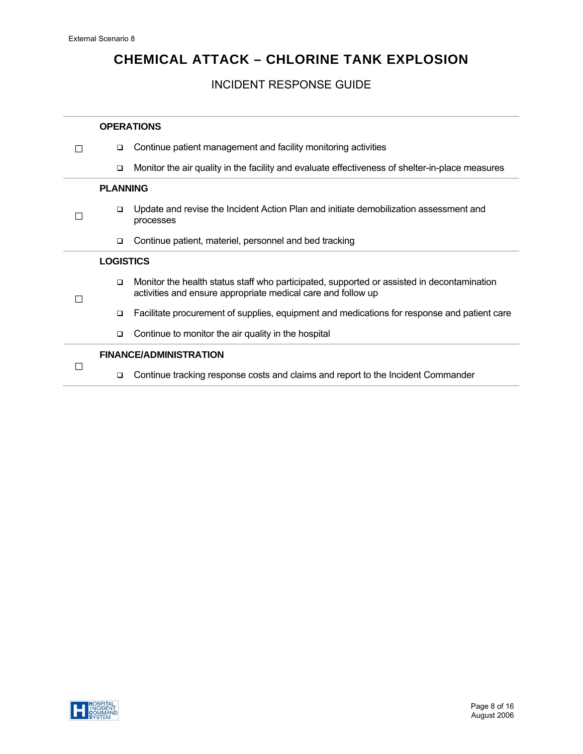# INCIDENT RESPONSE GUIDE

|  |                               | <b>OPERATIONS</b>                                                                                                                                          |  |  |
|--|-------------------------------|------------------------------------------------------------------------------------------------------------------------------------------------------------|--|--|
|  | $\Box$                        | Continue patient management and facility monitoring activities                                                                                             |  |  |
|  | $\Box$                        | Monitor the air quality in the facility and evaluate effectiveness of shelter-in-place measures                                                            |  |  |
|  | <b>PLANNING</b>               |                                                                                                                                                            |  |  |
|  | $\Box$                        | Update and revise the Incident Action Plan and initiate demobilization assessment and<br>processes                                                         |  |  |
|  | $\Box$                        | Continue patient, materiel, personnel and bed tracking                                                                                                     |  |  |
|  | <b>LOGISTICS</b>              |                                                                                                                                                            |  |  |
|  | $\Box$                        | Monitor the health status staff who participated, supported or assisted in decontamination<br>activities and ensure appropriate medical care and follow up |  |  |
|  | $\Box$                        | Facilitate procurement of supplies, equipment and medications for response and patient care                                                                |  |  |
|  | $\Box$                        | Continue to monitor the air quality in the hospital                                                                                                        |  |  |
|  | <b>FINANCE/ADMINISTRATION</b> |                                                                                                                                                            |  |  |
|  | $\Box$                        | Continue tracking response costs and claims and report to the Incident Commander                                                                           |  |  |

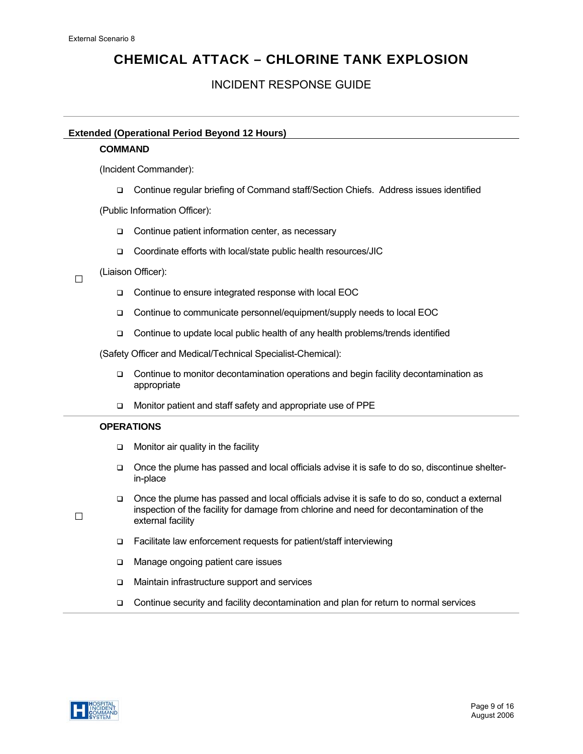# INCIDENT RESPONSE GUIDE

## **Extended (Operational Period Beyond 12 Hours)**

## **COMMAND**

(Incident Commander):

Continue regular briefing of Command staff/Section Chiefs. Address issues identified

(Public Information Officer):

- □ Continue patient information center, as necessary
- □ Coordinate efforts with local/state public health resources/JIC

 $\Box$ (Liaison Officer):

- □ Continue to ensure integrated response with local EOC
- □ Continue to communicate personnel/equipment/supply needs to local EOC
- □ Continue to update local public health of any health problems/trends identified

(Safety Officer and Medical/Technical Specialist-Chemical):

- Continue to monitor decontamination operations and begin facility decontamination as appropriate
- □ Monitor patient and staff safety and appropriate use of PPE

## **OPERATIONS**

- $\Box$  Monitor air quality in the facility
- Once the plume has passed and local officials advise it is safe to do so, discontinue shelterin-place
- Once the plume has passed and local officials advise it is safe to do so, conduct a external inspection of the facility for damage from chlorine and need for decontamination of the external facility
- $\Box$  Facilitate law enforcement requests for patient/staff interviewing
- □ Manage ongoing patient care issues
- Maintain infrastructure support and services
- Continue security and facility decontamination and plan for return to normal services



 $\Box$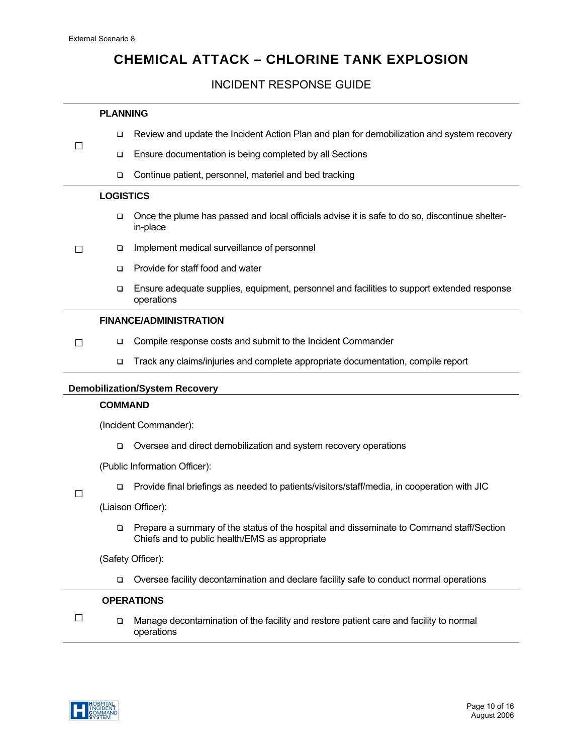□

# **CHEMICAL ATTACK – CHLORINE TANK EXPLOSION**

## INCIDENT RESPONSE GUIDE

### **PLANNING**

- Review and update the Incident Action Plan and plan for demobilization and system recovery
- □ Ensure documentation is being completed by all Sections
	- Continue patient, personnel, materiel and bed tracking

#### **LOGISTICS**

- Once the plume has passed and local officials advise it is safe to do so, discontinue shelterin-place
- □ Implement medical surveillance of personnel
	- □ Provide for staff food and water
	- Ensure adequate supplies, equipment, personnel and facilities to support extended response operations

## **FINANCE/ADMINISTRATION**

- $\Box$ □ Compile response costs and submit to the Incident Commander
	- Track any claims/injuries and complete appropriate documentation, compile report

#### **Demobilization/System Recovery**

#### **COMMAND**

(Incident Commander):

□ Oversee and direct demobilization and system recovery operations

(Public Information Officer):

 $\Box$ 

Provide final briefings as needed to patients/visitors/staff/media, in cooperation with JIC

(Liaison Officer):

 Prepare a summary of the status of the hospital and disseminate to Command staff/Section Chiefs and to public health/EMS as appropriate

(Safety Officer):

Oversee facility decontamination and declare facility safe to conduct normal operations

#### **OPERATIONS**

□ Manage decontamination of the facility and restore patient care and facility to normal operations

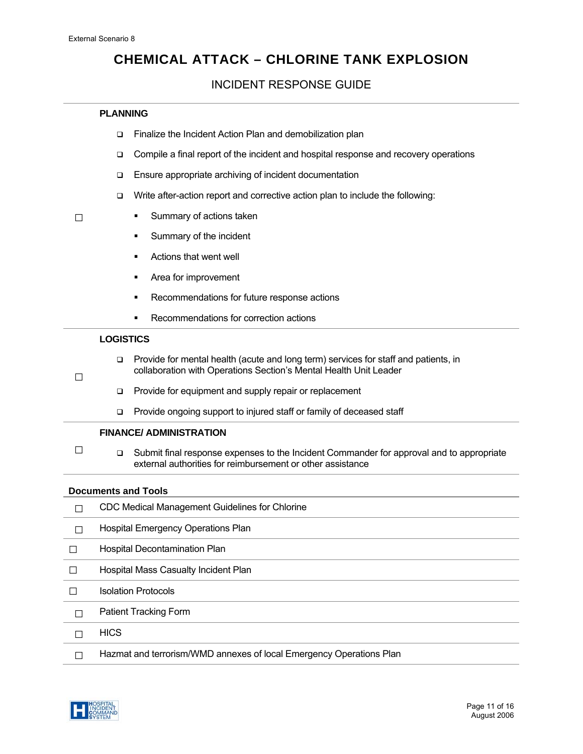## INCIDENT RESPONSE GUIDE

## **PLANNING**

- □ Finalize the Incident Action Plan and demobilization plan
- Compile a final report of the incident and hospital response and recovery operations
- □ Ensure appropriate archiving of incident documentation
- □ Write after-action report and corrective action plan to include the following:
- □

□

- **Summary of actions taken**
- **Summary of the incident**
- Actions that went well
- **Area for improvement**
- **Recommendations for future response actions**
- **Recommendations for correction actions**

### **LOGISTICS**

- Provide for mental health (acute and long term) services for staff and patients, in collaboration with Operations Section's Mental Health Unit Leader
	- **Provide for equipment and supply repair or replacement**
	- □ Provide ongoing support to injured staff or family of deceased staff

## **FINANCE/ ADMINISTRATION**

□ Submit final response expenses to the Incident Commander for approval and to appropriate external authorities for reimbursement or other assistance

#### **Documents and Tools**

|   | <b>CDC Medical Management Guidelines for Chlorine</b>               |
|---|---------------------------------------------------------------------|
|   | <b>Hospital Emergency Operations Plan</b>                           |
|   | Hospital Decontamination Plan                                       |
|   | Hospital Mass Casualty Incident Plan                                |
|   | <b>Isolation Protocols</b>                                          |
|   | <b>Patient Tracking Form</b>                                        |
|   | <b>HICS</b>                                                         |
| П | Hazmat and terrorism/WMD annexes of local Emergency Operations Plan |
|   |                                                                     |

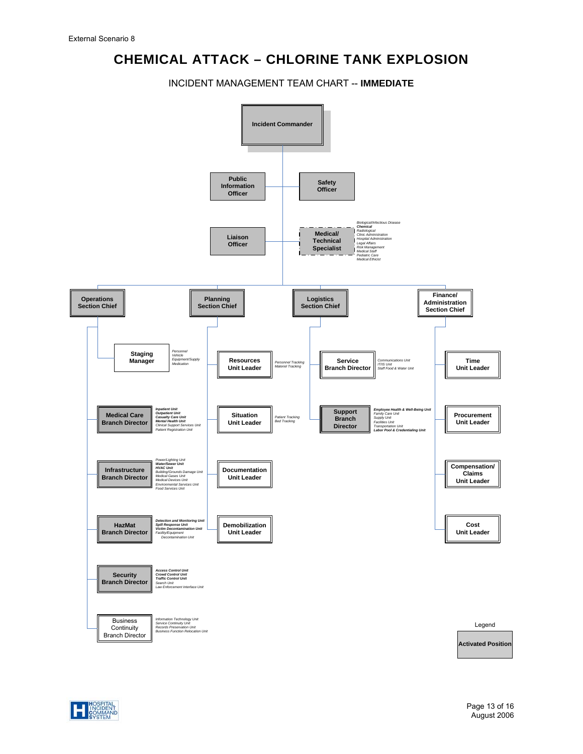INCIDENT MANAGEMENT TEAM CHART -- **IMMEDIATE** 



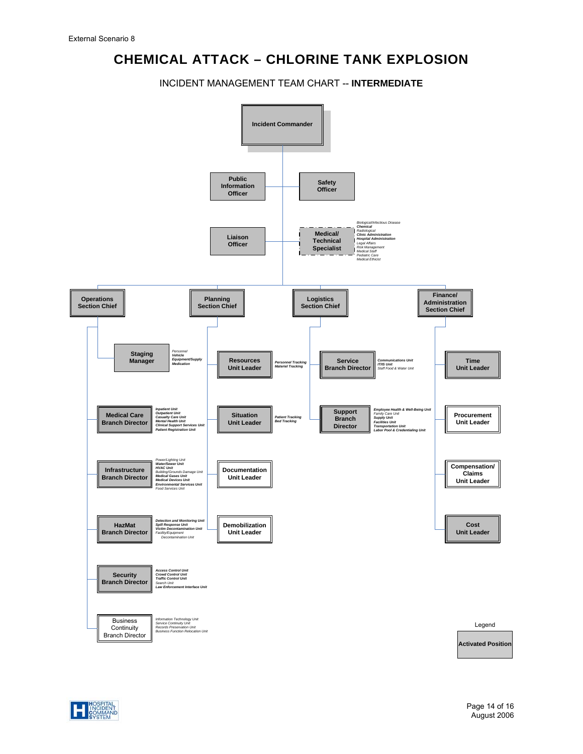INCIDENT MANAGEMENT TEAM CHART -- **INTERMEDIATE** 



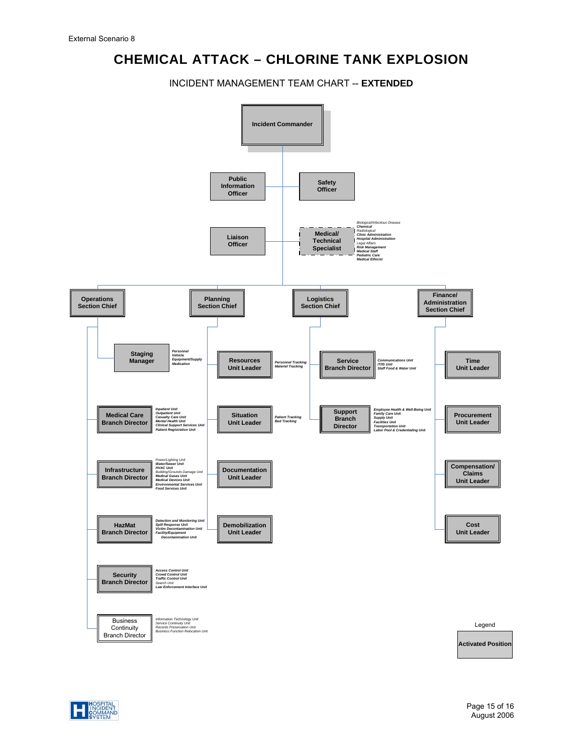INCIDENT MANAGEMENT TEAM CHART -- **EXTENDED**